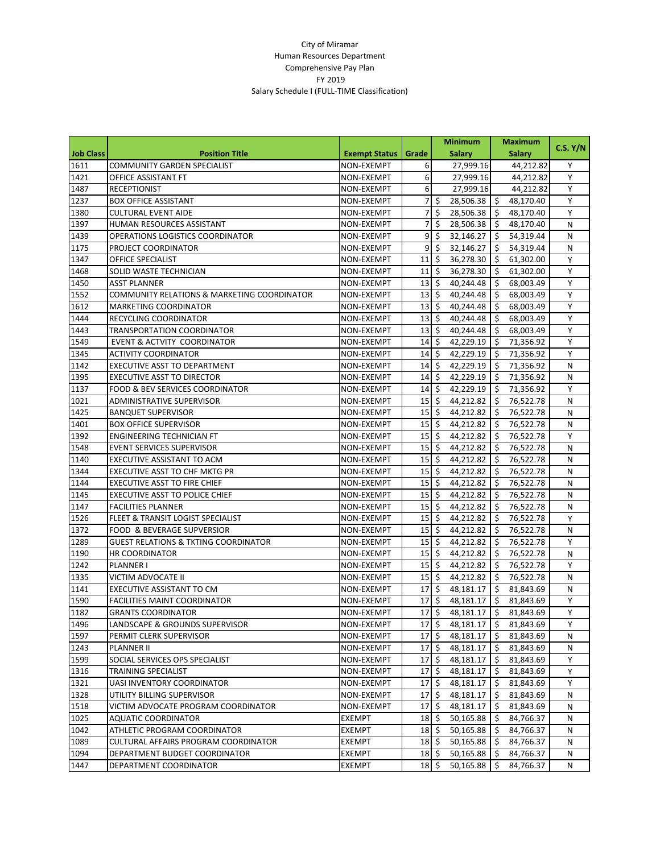|                  |                                                 |                      |                            | <b>Minimum</b>                        |               | <b>Maximum</b>                  |          |
|------------------|-------------------------------------------------|----------------------|----------------------------|---------------------------------------|---------------|---------------------------------|----------|
| <b>Job Class</b> | <b>Position Title</b>                           | <b>Exempt Status</b> | Grade                      |                                       | <b>Salary</b> | <b>Salary</b>                   | C.S. Y/N |
| 1611             | <b>COMMUNITY GARDEN SPECIALIST</b>              | NON-EXEMPT           | 6                          |                                       | 27,999.16     | 44,212.82                       | Υ        |
| 1421             | OFFICE ASSISTANT FT                             | NON-EXEMPT           | 6                          |                                       | 27,999.16     | 44,212.82                       | Y        |
| 1487             | <b>RECEPTIONIST</b>                             | NON-EXEMPT           | 6                          |                                       | 27,999.16     | 44,212.82                       | Y        |
| 1237             | <b>BOX OFFICE ASSISTANT</b>                     | NON-EXEMPT           | 7                          | \$                                    | 28,506.38     | -\$<br>48,170.40                | Υ        |
| 1380             | <b>CULTURAL EVENT AIDE</b>                      | NON-EXEMPT           | $\overline{7}$             | \$                                    | 28,506.38     | \$<br>48,170.40                 | Υ        |
| 1397             | HUMAN RESOURCES ASSISTANT                       | NON-EXEMPT           | $\overline{7}$             | \$                                    | 28,506.38     | \$<br>48,170.40                 | N        |
| 1439             | OPERATIONS LOGISTICS COORDINATOR                | NON-EXEMPT           | 9                          | \$                                    | 32,146.27     | Ŝ.<br>54,319.44                 | N        |
| 1175             | PROJECT COORDINATOR                             | NON-EXEMPT           | 9                          | $\dot{\mathsf{S}}$                    | 32,146.27     | Ŝ.<br>54,319.44                 | N        |
| 1347             | <b>OFFICE SPECIALIST</b>                        | NON-EXEMPT           | 11                         | \$                                    | 36,278.30     | \$<br>61,302.00                 | Y        |
| 1468             | SOLID WASTE TECHNICIAN                          | NON-EXEMPT           | 11                         | \$                                    | 36,278.30     | \$<br>61,302.00                 | Υ        |
| 1450             | <b>ASST PLANNER</b>                             | NON-EXEMPT           | 13                         | \$                                    | 40,244.48     | \$<br>68,003.49                 | Y        |
| 1552             | COMMUNITY RELATIONS & MARKETING COORDINATOR     | NON-EXEMPT           | 13                         | \$                                    | 40,244.48     | \$<br>68,003.49                 | Υ        |
| 1612             | <b>MARKETING COORDINATOR</b>                    | NON-EXEMPT           | 13                         | \$                                    | 40,244.48     | $\zeta$<br>68,003.49            | Y        |
| 1444             | RECYCLING COORDINATOR                           | NON-EXEMPT           | 13                         | \$                                    | 40,244.48     | $\zeta$<br>68,003.49            | Y        |
| 1443             | <b>TRANSPORTATION COORDINATOR</b>               | NON-EXEMPT           | 13                         | \$                                    | 40,244.48     | \$,<br>68,003.49                | Υ        |
| 1549             | EVENT & ACTVITY COORDINATOR                     | NON-EXEMPT           | 14                         | \$                                    | 42,229.19     | \$<br>71,356.92                 | Y        |
| 1345             | <b>ACTIVITY COORDINATOR</b>                     | NON-EXEMPT           | 14                         | \$                                    | 42,229.19     | \$<br>71,356.92                 | Y        |
| 1142             | EXECUTIVE ASST TO DEPARTMENT                    | NON-EXEMPT           | 14                         | \$                                    | 42,229.19     | Ŝ.<br>71,356.92                 | N        |
| 1395             | <b>EXECUTIVE ASST TO DIRECTOR</b>               | NON-EXEMPT           | 14                         | \$                                    | 42,229.19     | Ŝ.<br>71,356.92                 | N        |
| 1137             | <b>FOOD &amp; BEV SERVICES COORDINATOR</b>      | NON-EXEMPT           | 14                         | \$                                    | 42,229.19     | Ŝ.<br>71,356.92                 | Y        |
| 1021             | <b>ADMINISTRATIVE SUPERVISOR</b>                | NON-EXEMPT           | 15                         | \$                                    | 44,212.82     | \$<br>76,522.78                 | N        |
| 1425             | <b>BANQUET SUPERVISOR</b>                       | NON-EXEMPT           | 15                         | \$                                    | 44,212.82     | \$<br>76,522.78                 | N        |
| 1401             | <b>BOX OFFICE SUPERVISOR</b>                    | NON-EXEMPT           | 15                         | \$                                    | 44,212.82     | \$<br>76,522.78                 | Ν        |
| 1392             | <b>ENGINEERING TECHNICIAN FT</b>                | NON-EXEMPT           | 15                         | \$                                    | 44,212.82     | Ŝ.<br>76,522.78                 | Y        |
| 1548             | <b>EVENT SERVICES SUPERVISOR</b>                | NON-EXEMPT           | 15                         | \$                                    | 44,212.82     | S.<br>76,522.78                 | Ν        |
| 1140             | EXECUTIVE ASSISTANT TO ACM                      | NON-EXEMPT           | 15                         | \$                                    | 44,212.82     | \$<br>76,522.78                 | N        |
| 1344             | EXECUTIVE ASST TO CHF MKTG PR                   | NON-EXEMPT           | 15                         | \$                                    | 44,212.82     | \$<br>76,522.78                 | Ν        |
| 1144             | <b>EXECUTIVE ASST TO FIRE CHIEF</b>             | NON-EXEMPT           | 15                         | \$                                    | 44,212.82     | \$<br>76,522.78                 | N        |
| 1145             | <b>EXECUTIVE ASST TO POLICE CHIEF</b>           | NON-EXEMPT           | 15                         | \$                                    | 44,212.82     | Ŝ.<br>76,522.78                 | N        |
| 1147             | <b>FACILITIES PLANNER</b>                       | NON-EXEMPT           | 15                         | \$                                    | 44,212.82     | Ŝ.<br>76,522.78                 | N        |
| 1526             | FLEET & TRANSIT LOGIST SPECIALIST               | NON-EXEMPT           | 15                         | \$                                    | 44,212.82     | Ŝ.<br>76,522.78                 | Υ        |
| 1372             | <b>FOOD &amp; BEVERAGE SUPVERSIOR</b>           | NON-EXEMPT           | 15                         | \$                                    | 44,212.82     | \$<br>76,522.78                 | N        |
| 1289             | <b>GUEST RELATIONS &amp; TKTING COORDINATOR</b> | NON-EXEMPT           | 15                         | $\zeta$                               | 44,212.82     | 76,522.78<br>-\$                | Υ        |
| 1190             | <b>HR COORDINATOR</b>                           | NON-EXEMPT           | 15                         | \$                                    | 44,212.82     | \$<br>76,522.78                 | Ν        |
| 1242             | <b>PLANNER I</b>                                | NON-EXEMPT           | 15                         | \$                                    | 44,212.82     | S.<br>76,522.78                 | Y        |
| 1335             | VICTIM ADVOCATE II                              | NON-EXEMPT           | 15                         | \$                                    | 44,212.82     | $\mathsf{\hat{S}}$<br>76,522.78 | Ν        |
| 1141             | EXECUTIVE ASSISTANT TO CM                       | NON-EXEMPT           | 17                         | \$                                    | 48,181.17     | S.<br>81,843.69                 | N        |
| 1590             | <b>FACILITIES MAINT COORDINATOR</b>             | NON-EXEMPT           | 17                         | \$                                    | 48,181.17     | \$<br>81,843.69                 | Υ        |
| 1182             | <b>GRANTS COORDINATOR</b>                       | NON-EXEMPT           | 17                         | $\ddot{\mathsf{S}}$                   | 48,181.17     | S.<br>81,843.69                 | Y        |
| 1496             | LANDSCAPE & GROUNDS SUPERVISOR                  | NON-EXEMPT           | $17 \mid 5$                |                                       | 48,181.17     | 81,843.69<br>-\$                | Υ        |
| 1597             | PERMIT CLERK SUPERVISOR                         | NON-EXEMPT           | $17 \frac{1}{2}$           |                                       | 48,181.17     | $\zeta$<br>81,843.69            | N        |
| 1243             | <b>PLANNER II</b>                               | NON-EXEMPT           |                            | $17\overline{\phantom{0}}$ \$         | 48,181.17     | -\$<br>81,843.69                | Ν        |
| 1599             | SOCIAL SERVICES OPS SPECIALIST                  | NON-EXEMPT           | 17                         | \$                                    | 48,181.17     | -\$<br>81,843.69                | Υ        |
| 1316             | TRAINING SPECIALIST                             | NON-EXEMPT           | $17 \mid \zeta$            |                                       | 48,181.17     | -\$<br>81,843.69                | Y        |
| 1321             | <b>UASI INVENTORY COORDINATOR</b>               | NON-EXEMPT           | 17                         | $\ddot{\mathsf{S}}$                   | 48,181.17     | \$<br>81,843.69                 | Υ        |
| 1328             | UTILITY BILLING SUPERVISOR                      | NON-EXEMPT           | $17 \frac{1}{2}$           |                                       | 48,181.17     | -\$<br>81,843.69                | N        |
| 1518             | VICTIM ADVOCATE PROGRAM COORDINATOR             | NON-EXEMPT           | 17                         | $\ddot{\mathsf{S}}$                   | 48,181.17     | 81,843.69<br>\$                 | N        |
| 1025             | <b>AQUATIC COORDINATOR</b>                      | <b>EXEMPT</b>        |                            | $18\overline{\smash{\big)}\smash{5}}$ | 50,165.88     | 84,766.37<br>-\$                | N        |
| 1042             | ATHLETIC PROGRAM COORDINATOR                    | EXEMPT               | $18\overline{\phantom{0}}$ |                                       | 50,165.88     | -\$<br>84,766.37                | Ν        |
| 1089             | CULTURAL AFFAIRS PROGRAM COORDINATOR            | EXEMPT               |                            | $18\overline{\phantom{1}}$ \$         | 50,165.88     | \$<br>84,766.37                 | Ν        |
| 1094             | DEPARTMENT BUDGET COORDINATOR                   | EXEMPT               | $18\overline{\smash{5}}$   |                                       | 50,165.88     | -\$<br>84,766.37                | Ν        |
| 1447             | DEPARTMENT COORDINATOR                          | EXEMPT               | $18\overline{\phantom{0}}$ |                                       | 50,165.88     | \$<br>84,766.37                 | N        |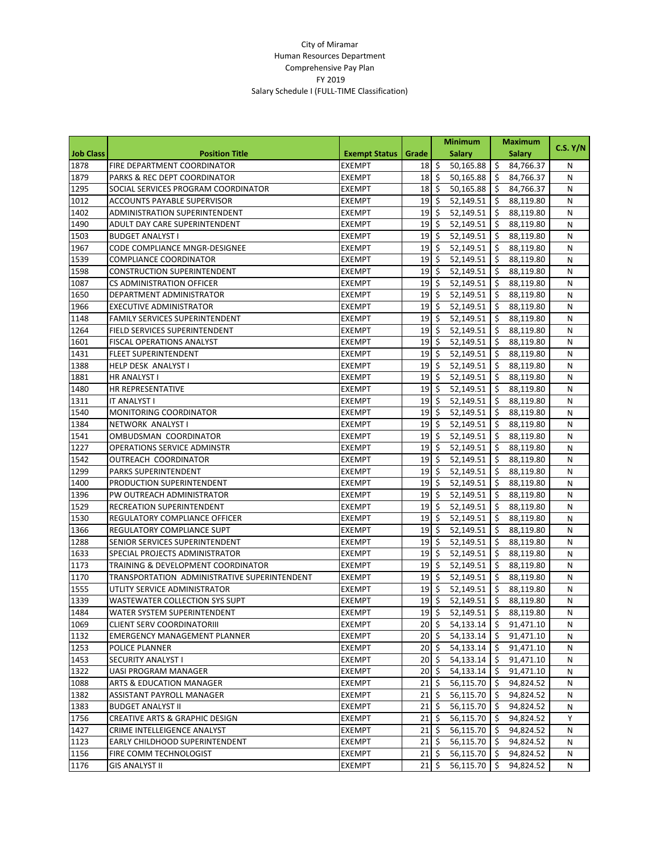|                  |                                              |                      |                              | <b>Minimum</b>                        |               | <b>Maximum</b> |               |          |
|------------------|----------------------------------------------|----------------------|------------------------------|---------------------------------------|---------------|----------------|---------------|----------|
| <b>Job Class</b> | <b>Position Title</b>                        | <b>Exempt Status</b> | Grade                        |                                       | <b>Salary</b> |                | <b>Salary</b> | C.S. Y/N |
| 1878             | FIRE DEPARTMENT COORDINATOR                  | EXEMPT               | 18 <sup>1</sup>              | \$                                    | 50,165.88     | \$             | 84,766.37     | N        |
| 1879             | PARKS & REC DEPT COORDINATOR                 | EXEMPT               | 18                           | Ŝ.                                    | 50,165.88     | \$,            | 84,766.37     | N        |
| 1295             | SOCIAL SERVICES PROGRAM COORDINATOR          | <b>EXEMPT</b>        | 18                           | \$                                    | 50,165.88     | Ś              | 84,766.37     | Ν        |
| 1012             | <b>ACCOUNTS PAYABLE SUPERVISOR</b>           | <b>EXEMPT</b>        | 19                           | \$                                    | 52,149.51     | \$             | 88,119.80     | N        |
| 1402             | ADMINISTRATION SUPERINTENDENT                | EXEMPT               | 19                           | \$                                    | 52,149.51     | \$             | 88,119.80     | N        |
| 1490             | ADULT DAY CARE SUPERINTENDENT                | EXEMPT               | 19                           | \$                                    | 52,149.51     | \$             | 88,119.80     | N        |
| 1503             | <b>BUDGET ANALYST I</b>                      | EXEMPT               | 19                           | \$                                    | 52,149.51     | \$             | 88,119.80     | N        |
| 1967             | CODE COMPLIANCE MNGR-DESIGNEE                | <b>EXEMPT</b>        | 19                           | $\mathsf{\hat{S}}$                    | 52,149.51     | \$             | 88,119.80     | N        |
| 1539             | <b>COMPLIANCE COORDINATOR</b>                | EXEMPT               | 19                           | \$                                    | 52,149.51     | \$             | 88,119.80     | Ν        |
| 1598             | <b>CONSTRUCTION SUPERINTENDENT</b>           | EXEMPT               | 19                           | \$                                    | 52,149.51     | \$             | 88,119.80     | N        |
| 1087             | CS ADMINISTRATION OFFICER                    | EXEMPT               | 19                           | \$                                    | 52,149.51     | \$             | 88,119.80     | N        |
| 1650             | DEPARTMENT ADMINISTRATOR                     | EXEMPT               | 19                           | \$                                    | 52,149.51     | \$             | 88,119.80     | N        |
| 1966             | <b>EXECUTIVE ADMINISTRATOR</b>               | EXEMPT               | 19                           | \$                                    | 52,149.51     | \$             | 88,119.80     | N        |
| 1148             | FAMILY SERVICES SUPERINTENDENT               | <b>EXEMPT</b>        | 19                           | $\mathsf{\hat{S}}$                    | 52,149.51     | \$             | 88,119.80     | N        |
| 1264             | FIELD SERVICES SUPERINTENDENT                | EXEMPT               | 19                           | \$                                    | 52,149.51     | \$             | 88,119.80     | N        |
| 1601             | FISCAL OPERATIONS ANALYST                    | EXEMPT               | 19                           | \$                                    | 52,149.51     | \$             | 88,119.80     | N        |
| 1431             | <b>FLEET SUPERINTENDENT</b>                  | EXEMPT               | 19                           | \$                                    | 52,149.51     | \$             | 88,119.80     | Ν        |
| 1388             | HELP DESK ANALYST I                          | EXEMPT               | 19                           | \$                                    | 52,149.51     | \$             | 88,119.80     | N        |
| 1881             | HR ANALYST I                                 | EXEMPT               | 19                           | \$                                    | 52,149.51     | \$             | 88,119.80     | N        |
| 1480             | HR REPRESENTATIVE                            | <b>EXEMPT</b>        | 19                           | \$                                    | 52,149.51     | Ś              | 88,119.80     | N        |
| 1311             | IT ANALYST I                                 | EXEMPT               | 19                           | \$                                    | 52,149.51     | \$             | 88,119.80     | N        |
| 1540             | MONITORING COORDINATOR                       | EXEMPT               | 19                           | \$                                    | 52,149.51     | \$             | 88,119.80     | N        |
| 1384             | NETWORK ANALYST I                            | EXEMPT               | 19                           | \$                                    | 52,149.51     | \$             | 88,119.80     | N        |
| 1541             | OMBUDSMAN COORDINATOR                        | EXEMPT               | 19                           | \$                                    | 52,149.51     | \$,            | 88,119.80     | N        |
| 1227             | <b>OPERATIONS SERVICE ADMINSTR</b>           | <b>EXEMPT</b>        | 19                           | \$                                    | 52,149.51     | \$             | 88,119.80     | N        |
| 1542             | OUTREACH COORDINATOR                         | <b>EXEMPT</b>        | 19                           | \$                                    | 52,149.51     | \$             | 88,119.80     | Ν        |
| 1299             | PARKS SUPERINTENDENT                         | EXEMPT               | 19                           | \$                                    | 52,149.51     | \$             | 88,119.80     | N        |
| 1400             | PRODUCTION SUPERINTENDENT                    | EXEMPT               | 19                           | \$                                    | 52,149.51     | \$             | 88,119.80     | Ν        |
| 1396             | PW OUTREACH ADMINISTRATOR                    | EXEMPT               | 19                           | \$                                    | 52,149.51     | \$             | 88,119.80     | N        |
| 1529             | RECREATION SUPERINTENDENT                    | <b>EXEMPT</b>        | 19                           | \$                                    | 52,149.51     | \$             | 88,119.80     | N        |
| 1530             | REGULATORY COMPLIANCE OFFICER                | <b>EXEMPT</b>        | 19                           | \$                                    | 52,149.51     | \$             | 88,119.80     | N        |
| 1366             | REGULATORY COMPLIANCE SUPT                   | EXEMPT               | 19                           | \$                                    | 52,149.51     | \$             | 88,119.80     | N        |
| 1288             | SENIOR SERVICES SUPERINTENDENT               | EXEMPT               | 19                           | \$                                    | 52,149.51     | \$             | 88,119.80     | N        |
| 1633             | SPECIAL PROJECTS ADMINISTRATOR               | EXEMPT               | 19                           | \$                                    | 52,149.51     | \$             | 88,119.80     | N        |
| 1173             | TRAINING & DEVELOPMENT COORDINATOR           | EXEMPT               | 19                           | \$                                    | 52,149.51     | \$             | 88,119.80     | Ν        |
| 1170             | TRANSPORTATION ADMINISTRATIVE SUPERINTENDENT | <b>EXEMPT</b>        | 19                           | \$                                    | 52,149.51     | \$             | 88,119.80     | Ν        |
| 1555             | UTLITY SERVICE ADMINISTRATOR                 | <b>EXEMPT</b>        | 19                           | Ś.                                    | 52,149.51     | Ś              | 88,119.80     | Ν        |
| 1339             | WASTEWATER COLLECTION SYS SUPT               | <b>EXEMPT</b>        | 19                           | \$                                    | 52,149.51     | \$             | 88,119.80     | N        |
| 1484             | WATER SYSTEM SUPERINTENDENT                  | <b>EXEMPT</b>        | 19 <sup>5</sup>              |                                       | 52,149.51     | \$             | 88,119.80     | N        |
| 1069             | <b>CLIENT SERV COORDINATORIII</b>            | EXEMPT               | $20\overline{\smash{\circ}}$ |                                       | 54,133.14     | -\$            | 91,471.10     | Ν        |
| 1132             | <b>EMERGENCY MANAGEMENT PLANNER</b>          | EXEMPT               |                              | $20\,$ \$                             | 54,133.14     | \$.            | 91,471.10     | Ν        |
| 1253             | POLICE PLANNER                               | EXEMPT               |                              | $20\overline{\smash{\big\vert}}\,$ \$ | 54,133.14     | -\$            | 91,471.10     | Ν        |
| 1453             | SECURITY ANALYST I                           | EXEMPT               |                              | $20\overline{\smash{\big\vert}}\,$ \$ | 54,133.14     | \$             | 91,471.10     | Ν        |
| 1322             | UASI PROGRAM MANAGER                         | EXEMPT               |                              | $20\overline{\smash{\big)}\,}$        | 54,133.14     | \$.            | 91,471.10     | Ν        |
| 1088             | ARTS & EDUCATION MANAGER                     | EXEMPT               | 21                           | \$                                    | 56,115.70     | \$.            | 94,824.52     | N        |
| 1382             | ASSISTANT PAYROLL MANAGER                    | EXEMPT               | 21                           | \$.                                   | 56,115.70     | S              | 94,824.52     | N        |
| 1383             | <b>BUDGET ANALYST II</b>                     | EXEMPT               | $21 \,$ \$                   |                                       | 56,115.70     | \$             | 94,824.52     | Ν        |
| 1756             | <b>CREATIVE ARTS &amp; GRAPHIC DESIGN</b>    | EXEMPT               | 21                           | $\zeta$                               | 56,115.70     | -\$            | 94,824.52     | Y        |
| 1427             | CRIME INTELLEIGENCE ANALYST                  | EXEMPT               | 21                           | \$                                    | 56,115.70     | S              | 94,824.52     | Ν        |
| 1123             | EARLY CHILDHOOD SUPERINTENDENT               | EXEMPT               | $21 \mid \zeta$              |                                       | 56,115.70     | \$             | 94,824.52     | Ν        |
| 1156             | FIRE COMM TECHNOLOGIST                       | EXEMPT               |                              | $21\overline{\phantom{0}}$            | 56,115.70     | \$.            | 94,824.52     | N        |
| 1176             | <b>GIS ANALYST II</b>                        | <b>EXEMPT</b>        |                              | $21\frac{1}{2}$                       | 56,115.70     | S              | 94,824.52     | N        |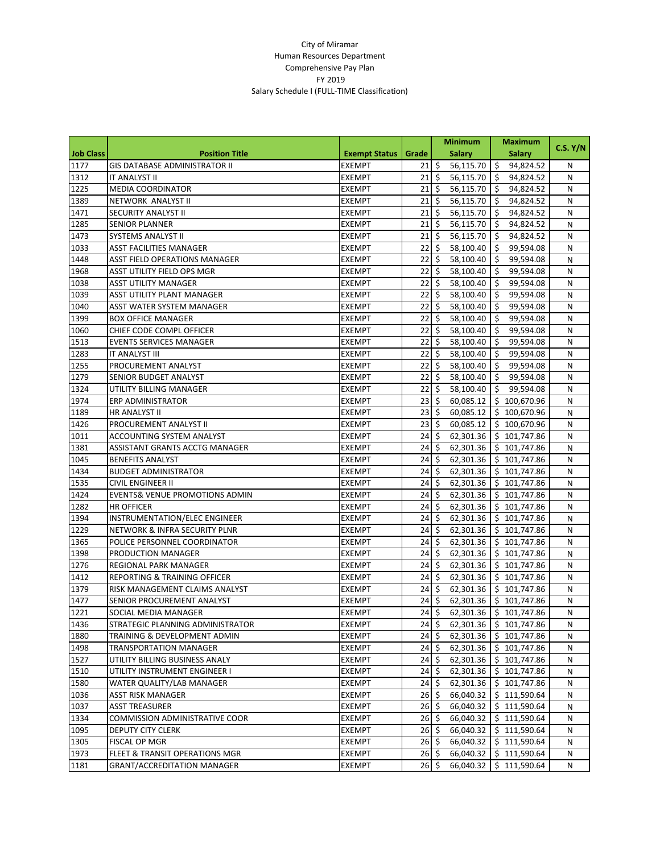|                  |                                           |                      |                           | <b>Minimum</b>           |               | <b>Maximum</b> |                          |          |
|------------------|-------------------------------------------|----------------------|---------------------------|--------------------------|---------------|----------------|--------------------------|----------|
| <b>Job Class</b> | <b>Position Title</b>                     | <b>Exempt Status</b> | Grade                     |                          | <b>Salary</b> |                | <b>Salary</b>            | C.S. Y/N |
| 1177             | <b>GIS DATABASE ADMINISTRATOR II</b>      | <b>EXEMPT</b>        | 21                        | $\ddot{\mathsf{S}}$      | 56,115.70     | \$             | 94,824.52                | N        |
| 1312             | IT ANALYST II                             | <b>EXEMPT</b>        | 21                        | $\overline{\mathbf{S}}$  | 56,115.70     | Ŝ.             | 94,824.52                | N        |
| 1225             | <b>MEDIA COORDINATOR</b>                  | <b>EXEMPT</b>        | 21                        | \$                       | 56,115.70     | \$             | 94,824.52                | N        |
| 1389             | NETWORK ANALYST II                        | <b>EXEMPT</b>        | 21                        | \$                       | 56,115.70     | \$             | 94,824.52                | N        |
| 1471             | SECURITY ANALYST II                       | EXEMPT               | 21                        | \$                       | 56,115.70     | \$             | 94,824.52                | N        |
| 1285             | <b>SENIOR PLANNER</b>                     | <b>EXEMPT</b>        | 21                        | \$                       | 56,115.70     | \$             | 94,824.52                | N        |
| 1473             | SYSTEMS ANALYST II                        | <b>EXEMPT</b>        | 21                        | \$                       | 56,115.70     | \$             | 94,824.52                | N        |
| 1033             | <b>ASST FACILITIES MANAGER</b>            | <b>EXEMPT</b>        | 22                        | \$                       | 58,100.40     | \$             | 99,594.08                | N        |
| 1448             | <b>ASST FIELD OPERATIONS MANAGER</b>      | <b>EXEMPT</b>        | 22                        | \$                       | 58,100.40     | \$             | 99,594.08                | N        |
| 1968             | <b>ASST UTILITY FIELD OPS MGR</b>         | EXEMPT               | 22                        | \$                       | 58,100.40     | \$             | 99,594.08                | N        |
| 1038             | ASST UTILITY MANAGER                      | EXEMPT               | 22                        | \$                       | 58,100.40     | \$             | 99,594.08                | N        |
| 1039             | ASST UTILITY PLANT MANAGER                | <b>EXEMPT</b>        | 22                        | \$                       | 58,100.40     | \$             | 99,594.08                | N        |
| 1040             | ASST WATER SYSTEM MANAGER                 | <b>EXEMPT</b>        | 22                        | \$                       | 58,100.40     | \$             | 99,594.08                | N        |
| 1399             | <b>BOX OFFICE MANAGER</b>                 | <b>EXEMPT</b>        | 22                        | \$                       | 58,100.40     | \$             | 99,594.08                | N        |
| 1060             | CHIEF CODE COMPL OFFICER                  | <b>EXEMPT</b>        | 22                        | \$                       | 58,100.40     | \$             | 99,594.08                | N        |
| 1513             | <b>EVENTS SERVICES MANAGER</b>            | EXEMPT               | 22                        | \$                       | 58,100.40     | \$             | 99,594.08                | N        |
| 1283             | IT ANALYST III                            | EXEMPT               | 22                        | \$                       | 58,100.40     | \$             | 99,594.08                | N        |
| 1255             | PROCUREMENT ANALYST                       | <b>EXEMPT</b>        | 22                        | \$                       | 58,100.40     | \$             | 99,594.08                | N        |
| 1279             | SENIOR BUDGET ANALYST                     | <b>EXEMPT</b>        | 22                        | \$                       | 58,100.40     | \$             | 99,594.08                | N        |
| 1324             | UTILITY BILLING MANAGER                   | <b>EXEMPT</b>        | 22                        | \$                       | 58,100.40     | \$             | 99,594.08                | N        |
| 1974             | ERP ADMINISTRATOR                         | EXEMPT               | 23                        | \$                       | 60,085.12     |                | \$100,670.96             | N        |
| 1189             | HR ANALYST II                             | EXEMPT               | 23                        | \$                       | 60,085.12     |                | \$100,670.96             | N        |
| 1426             | PROCUREMENT ANALYST II                    | EXEMPT               | 23                        | \$                       | 60,085.12     |                | \$100,670.96             | N        |
| 1011             | ACCOUNTING SYSTEM ANALYST                 | <b>EXEMPT</b>        | 24                        | \$                       | 62,301.36     |                | \$101,747.86             | N        |
| 1381             | ASSISTANT GRANTS ACCTG MANAGER            | <b>EXEMPT</b>        | 24                        | \$                       | 62,301.36     |                | \$101,747.86             | N        |
| 1045             | <b>BENEFITS ANALYST</b>                   | <b>EXEMPT</b>        | 24                        | \$                       | 62,301.36     |                | \$101,747.86             | N        |
| 1434             | <b>BUDGET ADMINISTRATOR</b>               | <b>EXEMPT</b>        | 24                        | \$                       | 62,301.36     |                | \$101,747.86             | N        |
| 1535             | CIVIL ENGINEER II                         | EXEMPT               | 24                        | \$                       | 62,301.36     |                | \$101,747.86             | N        |
| 1424             | <b>EVENTS&amp; VENUE PROMOTIONS ADMIN</b> | <b>EXEMPT</b>        | 24                        | \$                       | 62,301.36     |                | \$101,747.86             | N        |
| 1282             | <b>HR OFFICER</b>                         | <b>EXEMPT</b>        | 24                        | $\zeta$                  | 62,301.36     |                | \$101,747.86             | N        |
| 1394             | INSTRUMENTATION/ELEC ENGINEER             | <b>EXEMPT</b>        | 24                        | \$                       | 62,301.36     |                | \$101,747.86             | N        |
| 1229             | NETWORK & INFRA SECURITY PLNR             | <b>EXEMPT</b>        | 24                        | \$                       | 62,301.36     |                | \$101,747.86             | N        |
| 1365             | POLICE PERSONNEL COORDINATOR              | EXEMPT               | 24                        | \$                       | 62,301.36     |                | \$101,747.86             | N        |
| 1398             | PRODUCTION MANAGER                        | EXEMPT               | 24                        | $\mathsf{\hat{S}}$       | 62,301.36     |                | \$101,747.86             | N        |
| 1276             | REGIONAL PARK MANAGER                     | EXEMPT               | 24                        | \$                       | 62,301.36     |                | \$101,747.86             | N        |
| 1412             | <b>REPORTING &amp; TRAINING OFFICER</b>   | <b>EXEMPT</b>        | 24                        | \$                       | 62,301.36     |                | \$101,747.86             | N        |
| 1379             | RISK MANAGEMENT CLAIMS ANALYST            | <b>EXEMPT</b>        | 24                        | \$                       | 62,301.36     |                | \$101,747.86             | N        |
| 1477             | SENIOR PROCUREMENT ANALYST                | <b>EXEMPT</b>        | 24                        | \$                       | 62,301.36     |                | \$101,747.86             | N        |
| 1221             | SOCIAL MEDIA MANAGER                      | <b>EXEMPT</b>        | $24 \overline{\smash{5}}$ |                          | 62,301.36     |                | \$101,747.86             | N        |
| 1436             | STRATEGIC PLANNING ADMINISTRATOR          | <b>EXEMPT</b>        | $24 \,$ \$                |                          |               |                | 62,301.36   \$101,747.86 | N        |
| 1880             | TRAINING & DEVELOPMENT ADMIN              | <b>EXEMPT</b>        | 24                        | $\ddot{\varsigma}$       | 62,301.36     |                | \$101,747.86             | N        |
| 1498             | <b>TRANSPORTATION MANAGER</b>             | <b>EXEMPT</b>        |                           | $24\overline{\text{S}}$  | 62,301.36     |                | \$101,747.86             | N        |
| 1527             | UTILITY BILLING BUSINESS ANALY            | EXEMPT               | 24                        | $\ddot{\mathsf{S}}$      | 62,301.36     |                | \$101,747.86             | N        |
| 1510             | UTILITY INSTRUMENT ENGINEER I             | EXEMPT               | $24 \,$ \$                |                          | 62,301.36     |                | \$101,747.86             | N        |
| 1580             | WATER QUALITY/LAB MANAGER                 | EXEMPT               |                           | $24 \overline{\text{S}}$ | 62,301.36     |                | \$101,747.86             | N        |
| 1036             | ASST RISK MANAGER                         | EXEMPT               | $26 \,$ \$                |                          | 66,040.32     |                | \$111,590.64             | N        |
| 1037             | <b>ASST TREASURER</b>                     | EXEMPT               |                           | $26 \div$                | 66,040.32     |                | \$111,590.64             | N        |
| 1334             | COMMISSION ADMINISTRATIVE COOR            | EXEMPT               |                           | $26 \div$                | 66,040.32     |                | \$111,590.64             | N        |
| 1095             | DEPUTY CITY CLERK                         | EXEMPT               | $26 \,$ \$                |                          | 66,040.32     |                | \$111,590.64             | N        |
| 1305             | FISCAL OP MGR                             | EXEMPT               |                           | $26 \div$                | 66,040.32     |                | \$111,590.64             | N        |
| 1973             | FLEET & TRANSIT OPERATIONS MGR            | EXEMPT               | $26 \,$ \$                |                          | 66,040.32     |                | \$111,590.64             | N        |
| 1181             | <b>GRANT/ACCREDITATION MANAGER</b>        | EXEMPT               |                           | $26 \div$                | 66,040.32     |                | \$111,590.64             | N        |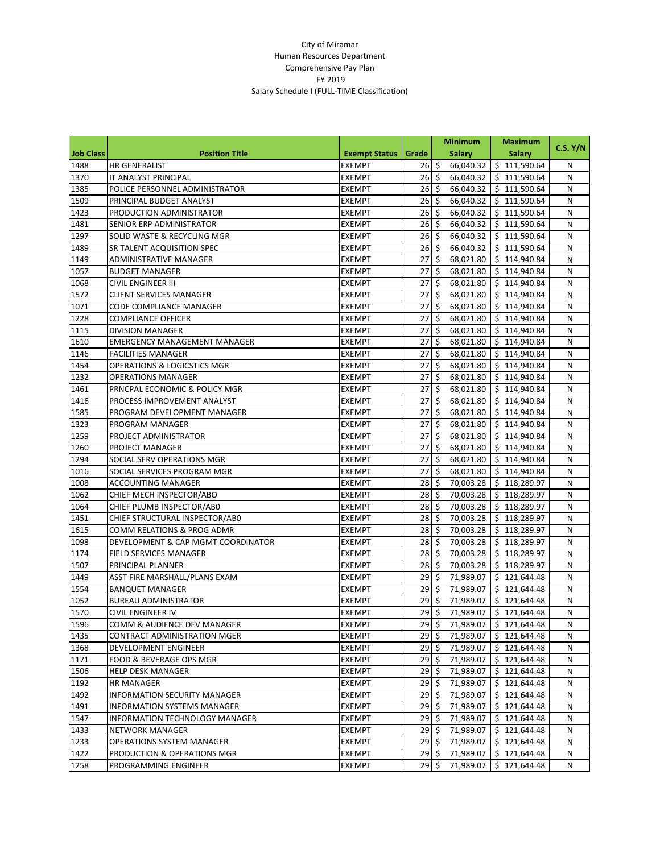|                  |                                     |                      | <b>Minimum</b> |                          |               | <b>Maximum</b>           |          |
|------------------|-------------------------------------|----------------------|----------------|--------------------------|---------------|--------------------------|----------|
| <b>Job Class</b> | <b>Position Title</b>               | <b>Exempt Status</b> | Grade          |                          | <b>Salary</b> | <b>Salary</b>            | C.S. Y/N |
| 1488             | <b>HR GENERALIST</b>                | <b>EXEMPT</b>        | 26             | $\zeta$                  | 66,040.32     | \$111,590.64             | N        |
| 1370             | IT ANALYST PRINCIPAL                | <b>EXEMPT</b>        | 26             | $\overline{\mathbf{S}}$  | 66,040.32     | \$111,590.64             | N        |
| 1385             | POLICE PERSONNEL ADMINISTRATOR      | <b>EXEMPT</b>        | 26             | \$                       | 66,040.32     | \$111,590.64             | N        |
| 1509             | PRINCIPAL BUDGET ANALYST            | <b>EXEMPT</b>        | 26             | \$                       | 66,040.32     | \$111,590.64             | N        |
| 1423             | PRODUCTION ADMINISTRATOR            | EXEMPT               | 26             | \$                       | 66,040.32     | \$111,590.64             | N        |
| 1481             | SENIOR ERP ADMINISTRATOR            | EXEMPT               | 26             | \$                       | 66,040.32     | \$111,590.64             | N        |
| 1297             | SOLID WASTE & RECYCLING MGR         | EXEMPT               | 26             | $\zeta$                  | 66,040.32     | \$111,590.64             | N        |
| 1489             | SR TALENT ACQUISITION SPEC          | <b>EXEMPT</b>        | 26             | $\zeta$                  | 66,040.32     | \$111,590.64             | N        |
| 1149             | ADMINISTRATIVE MANAGER              | <b>EXEMPT</b>        | 27             | \$                       | 68,021.80     | \$114,940.84             | N        |
| 1057             | <b>BUDGET MANAGER</b>               | EXEMPT               | 27             | \$                       | 68,021.80     | \$114,940.84             | N        |
| 1068             | <b>CIVIL ENGINEER III</b>           | <b>EXEMPT</b>        | 27             | \$                       | 68,021.80     | \$114,940.84             | N        |
| 1572             | <b>CLIENT SERVICES MANAGER</b>      | EXEMPT               | 27             | \$                       | 68,021.80     | \$114,940.84             | N        |
| 1071             | CODE COMPLIANCE MANAGER             | <b>EXEMPT</b>        | 27             | \$                       | 68,021.80     | \$114,940.84             | N        |
| 1228             | <b>COMPLIANCE OFFICER</b>           | <b>EXEMPT</b>        | 27             | \$                       | 68,021.80     | \$114,940.84             | N        |
| 1115             | <b>DIVISION MANAGER</b>             | <b>EXEMPT</b>        | 27             | \$                       | 68,021.80     | \$114,940.84             | N        |
| 1610             | <b>EMERGENCY MANAGEMENT MANAGER</b> | EXEMPT               | 27             | \$                       | 68,021.80     | \$114,940.84             | N        |
| 1146             | <b>FACILITIES MANAGER</b>           | EXEMPT               | 27             | \$                       | 68,021.80     | \$114,940.84             | N        |
| 1454             | OPERATIONS & LOGICSTICS MGR         | <b>EXEMPT</b>        | 27             | $\overline{\mathcal{S}}$ | 68,021.80     | \$114,940.84             | N        |
| 1232             | <b>OPERATIONS MANAGER</b>           | <b>EXEMPT</b>        | 27             | \$                       | 68,021.80     | \$114,940.84             | N        |
| 1461             | PRNCPAL ECONOMIC & POLICY MGR       | <b>EXEMPT</b>        | 27             | \$                       | 68,021.80     | \$114,940.84             | N        |
| 1416             | PROCESS IMPROVEMENT ANALYST         | EXEMPT               | 27             | \$                       | 68,021.80     | \$114,940.84             | N        |
| 1585             | PROGRAM DEVELOPMENT MANAGER         | EXEMPT               | 27             | \$                       | 68,021.80     | \$114,940.84             | N        |
| 1323             | PROGRAM MANAGER                     | EXEMPT               | 27             | \$                       | 68,021.80     | \$114,940.84             | N        |
| 1259             | PROJECT ADMINISTRATOR               | EXEMPT               | 27             | \$                       | 68,021.80     | \$114,940.84             | N        |
| 1260             | PROJECT MANAGER                     | <b>EXEMPT</b>        | 27             | \$                       | 68,021.80     | \$114,940.84             | N        |
| 1294             | SOCIAL SERV OPERATIONS MGR          | EXEMPT               | 27             | \$                       | 68,021.80     | \$114,940.84             | N        |
| 1016             | SOCIAL SERVICES PROGRAM MGR         | EXEMPT               | 27             | \$                       | 68,021.80     | \$114,940.84             | N        |
| 1008             | <b>ACCOUNTING MANAGER</b>           | <b>EXEMPT</b>        | 28             | \$                       | 70,003.28     | \$118,289.97             | N        |
| 1062             | CHIEF MECH INSPECTOR/ABO            | <b>EXEMPT</b>        | 28             | \$                       | 70,003.28     | \$118,289.97             | N        |
| 1064             | CHIEF PLUMB INSPECTOR/AB0           | <b>EXEMPT</b>        | 28             | \$                       | 70,003.28     | \$118,289.97             | N        |
| 1451             | CHIEF STRUCTURAL INSPECTOR/AB0      | EXEMPT               | 28             | \$                       | 70,003.28     | \$118,289.97             | N        |
| 1615             | COMM RELATIONS & PROG ADMR          | EXEMPT               | 28             | \$                       | 70,003.28     | \$118,289.97             | N        |
| 1098             | DEVELOPMENT & CAP MGMT COORDINATOR  | EXEMPT               | 28             | $\overline{\mathcal{S}}$ | 70,003.28     | \$118,289.97             | N        |
| 1174             | <b>FIELD SERVICES MANAGER</b>       | EXEMPT               | 28             | \$                       | 70,003.28     | \$118,289.97             | N        |
| 1507             | PRINCIPAL PLANNER                   | EXEMPT               | 28             | \$                       | 70,003.28     | \$118,289.97             | N        |
| 1449             | ASST FIRE MARSHALL/PLANS EXAM       | <b>EXEMPT</b>        | 29             | \$                       | 71,989.07     | \$121,644.48             | N        |
| 1554             | <b>BANQUET MANAGER</b>              | EXEMPT               | 29             | \$                       | 71,989.07     | \$121,644.48             | N        |
| 1052             | <b>BUREAU ADMINISTRATOR</b>         | <b>EXEMPT</b>        | 29             | \$                       | 71,989.07     | \$121,644.48             | N        |
| 1570             | CIVIL ENGINEER IV                   | <b>EXEMPT</b>        | 29             | \$                       | 71,989.07     | \$121,644.48             | N        |
| 1596             | COMM & AUDIENCE DEV MANAGER         | <b>EXEMPT</b>        | 29S            |                          |               | 71,989.07   \$121,644.48 | N        |
| 1435             | CONTRACT ADMINISTRATION MGER        | EXEMPT               |                | 29 \$                    | 71,989.07     | \$121,644.48             | N        |
| 1368             | DEVELOPMENT ENGINEER                | <b>EXEMPT</b>        |                | $29\overline{\text{S}}$  | 71,989.07     | \$121,644.48             | N        |
| 1171             | FOOD & BEVERAGE OPS MGR             | EXEMPT               |                | $29\sqrt{5}$             | 71,989.07     | \$121,644.48             | N        |
| 1506             | <b>HELP DESK MANAGER</b>            | EXEMPT               | $29 \,$ \$     |                          | 71,989.07     | \$121,644.48             | N        |
| 1192             | <b>HR MANAGER</b>                   | EXEMPT               | $29 \,$ \$     |                          | 71,989.07     | \$121,644.48             | N        |
| 1492             | <b>INFORMATION SECURITY MANAGER</b> | <b>EXEMPT</b>        | 29S            |                          | 71,989.07     | \$121,644.48             | N        |
| 1491             | <b>INFORMATION SYSTEMS MANAGER</b>  | <b>EXEMPT</b>        |                | 29 \$                    | 71,989.07     | \$121,644.48             | N        |
| 1547             | INFORMATION TECHNOLOGY MANAGER      | EXEMPT               | $29 \mid 5$    |                          | 71,989.07     | \$121,644.48             | N        |
| 1433             | NETWORK MANAGER                     | EXEMPT               | 29S            |                          | 71,989.07     | \$121,644.48             | N        |
| 1233             | <b>OPERATIONS SYSTEM MANAGER</b>    | EXEMPT               |                | $29\sqrt{5}$             | 71,989.07     | \$121,644.48             | N        |
| 1422             | PRODUCTION & OPERATIONS MGR         | <b>EXEMPT</b>        | $29 \mid 5$    |                          | 71,989.07     | \$121,644.48             | N        |
| 1258             | PROGRAMMING ENGINEER                | EXEMPT               | $29 \div$      |                          | 71,989.07     | \$121,644.48             | Ν        |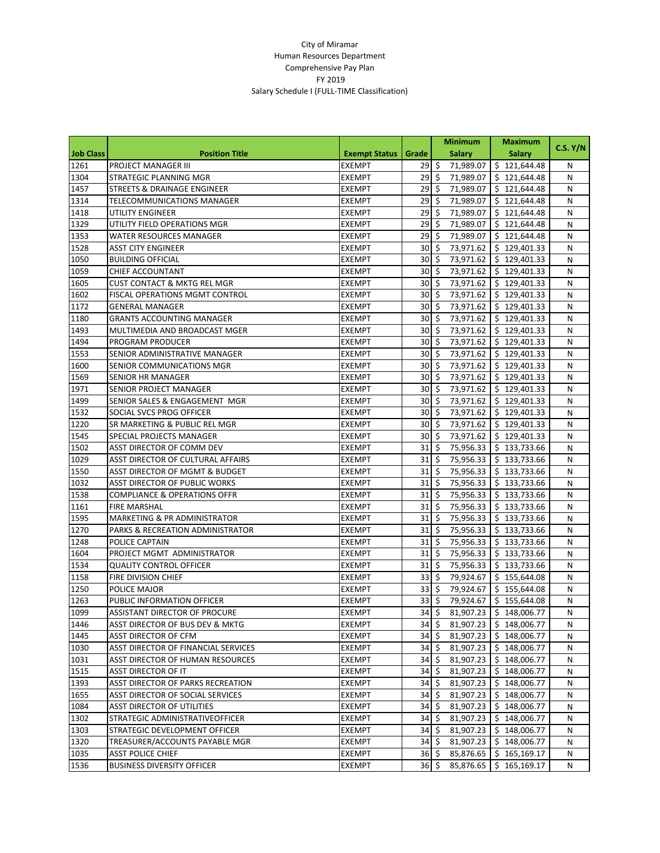|                  |                                         |                      | <b>Minimum</b>           |                          |               | <b>Maximum</b>           |          |
|------------------|-----------------------------------------|----------------------|--------------------------|--------------------------|---------------|--------------------------|----------|
| <b>Job Class</b> | <b>Position Title</b>                   | <b>Exempt Status</b> | Grade                    |                          | <b>Salary</b> | <b>Salary</b>            | C.S. Y/N |
| 1261             | PROJECT MANAGER III                     | <b>EXEMPT</b>        | $29 \le$                 |                          | 71,989.07     | \$121,644.48             | N        |
| 1304             | STRATEGIC PLANNING MGR                  | <b>EXEMPT</b>        | 29                       | $\ddot{\mathsf{S}}$      | 71,989.07     | \$121,644.48             | N        |
| 1457             | STREETS & DRAINAGE ENGINEER             | <b>EXEMPT</b>        | 29                       | \$                       | 71,989.07     | \$121,644.48             | N        |
| 1314             | <b>TELECOMMUNICATIONS MANAGER</b>       | <b>EXEMPT</b>        | 29                       | \$                       | 71,989.07     | \$121,644.48             | N        |
| 1418             | UTILITY ENGINEER                        | <b>EXEMPT</b>        | 29                       | \$                       | 71,989.07     | \$121,644.48             | N        |
| 1329             | UTILITY FIELD OPERATIONS MGR            | EXEMPT               | 29                       | \$                       | 71,989.07     | \$121,644.48             | N        |
| 1353             | WATER RESOURCES MANAGER                 | <b>EXEMPT</b>        | 29                       | \$                       | 71,989.07     | \$121,644.48             | N        |
| 1528             | <b>ASST CITY ENGINEER</b>               | <b>EXEMPT</b>        | 30                       | \$                       | 73,971.62     | \$129,401.33             | N        |
| 1050             | <b>BUILDING OFFICIAL</b>                | <b>EXEMPT</b>        | 30                       | $\mathsf{\hat{S}}$       | 73,971.62     | \$129,401.33             | N        |
| 1059             | <b>CHIEF ACCOUNTANT</b>                 | <b>EXEMPT</b>        | 30                       | \$                       | 73,971.62     | \$129,401.33             | N        |
| 1605             | <b>CUST CONTACT &amp; MKTG REL MGR</b>  | EXEMPT               | 30                       | \$                       | 73,971.62     | \$129,401.33             | N        |
| 1602             | <b>FISCAL OPERATIONS MGMT CONTROL</b>   | <b>EXEMPT</b>        | 30                       | $\zeta$                  | 73,971.62     | \$129,401.33             | N        |
| 1172             | <b>GENERAL MANAGER</b>                  | EXEMPT               | 30                       | \$                       | 73,971.62     | \$129,401.33             | N        |
| 1180             | <b>GRANTS ACCOUNTING MANAGER</b>        | <b>EXEMPT</b>        | 30                       | $\boldsymbol{\zeta}$     | 73,971.62     | \$129,401.33             | N        |
| 1493             | MULTIMEDIA AND BROADCAST MGER           | <b>EXEMPT</b>        | 30                       | \$                       | 73,971.62     | \$129,401.33             | N        |
| 1494             | PROGRAM PRODUCER                        | <b>EXEMPT</b>        | 30                       | \$                       | 73,971.62     | \$129,401.33             | N        |
| 1553             | SENIOR ADMINISTRATIVE MANAGER           | EXEMPT               | 30                       | \$                       | 73,971.62     | \$129,401.33             | N        |
| 1600             | SENIOR COMMUNICATIONS MGR               | EXEMPT               | 30                       | \$                       | 73,971.62     | \$129,401.33             | N        |
| 1569             | <b>SENIOR HR MANAGER</b>                | EXEMPT               | 30                       | $\mathsf{\hat{S}}$       | 73,971.62     | \$129,401.33             | N        |
| 1971             | SENIOR PROJECT MANAGER                  | <b>EXEMPT</b>        | 30                       | $\zeta$                  | 73,971.62     | \$129,401.33             | N        |
| 1499             | SENIOR SALES & ENGAGEMENT MGR           | EXEMPT               | 30                       | \$                       | 73,971.62     | \$129,401.33             | N        |
| 1532             | SOCIAL SVCS PROG OFFICER                | <b>EXEMPT</b>        | 30                       | \$                       | 73,971.62     | \$129,401.33             | N        |
| 1220             | SR MARKETING & PUBLIC REL MGR           | <b>EXEMPT</b>        | 30                       | $\dot{\mathsf{S}}$       | 73,971.62     | \$129,401.33             | N        |
| 1545             | SPECIAL PROJECTS MANAGER                | EXEMPT               | 30                       | \$                       | 73,971.62     | \$129,401.33             | N        |
| 1502             | ASST DIRECTOR OF COMM DEV               | <b>EXEMPT</b>        | 31                       | \$                       | 75,956.33     | \$133,733.66             | N        |
| 1029             | ASST DIRECTOR OF CULTURAL AFFAIRS       | <b>EXEMPT</b>        | 31                       | \$                       | 75,956.33     | \$133,733.66             | N        |
| 1550             | ASST DIRECTOR OF MGMT & BUDGET          | <b>EXEMPT</b>        | 31                       | \$                       | 75,956.33     | \$133,733.66             | N        |
| 1032             | ASST DIRECTOR OF PUBLIC WORKS           | EXEMPT               | 31                       | \$                       | 75,956.33     | \$133,733.66             | N        |
| 1538             | <b>COMPLIANCE &amp; OPERATIONS OFFR</b> | EXEMPT               | 31                       | \$                       | 75,956.33     | \$133,733.66             | N        |
| 1161             | <b>FIRE MARSHAL</b>                     | <b>EXEMPT</b>        | 31                       | \$                       | 75,956.33     | \$133,733.66             | N        |
| 1595             | MARKETING & PR ADMINISTRATOR            | <b>EXEMPT</b>        | 31                       | $\ddot{\mathsf{S}}$      | 75,956.33     | \$133,733.66             | N        |
| 1270             | PARKS & RECREATION ADMINISTRATOR        | EXEMPT               | 31                       | \$                       | 75,956.33     | \$133,733.66             | N        |
| 1248             | POLICE CAPTAIN                          | EXEMPT               | 31                       | \$                       | 75,956.33     | \$133,733.66             | N        |
| 1604             | PROJECT MGMT ADMINISTRATOR              | EXEMPT               | 31                       | \$                       | 75,956.33     | \$133,733.66             | N        |
| 1534             | <b>QUALITY CONTROL OFFICER</b>          | EXEMPT               | 31                       | \$                       | 75,956.33     | \$133,733.66             | N        |
| 1158             | FIRE DIVISION CHIEF                     | EXEMPT               | 33                       | \$                       | 79,924.67     | \$155,644.08             | N        |
| 1250             | POLICE MAJOR                            | <b>EXEMPT</b>        | 33                       | $\mathsf{\hat{S}}$       | 79,924.67     | \$155,644.08             | N        |
| 1263             | PUBLIC INFORMATION OFFICER              | <b>EXEMPT</b>        | 33                       | \$                       | 79,924.67     | \$155,644.08             | N        |
| 1099             | ASSISTANT DIRECTOR OF PROCURE           | EXEMPT               | $\overline{34}$ \$       |                          |               | $81,907.23$ \$148,006.77 | N        |
| 1446             | ASST DIRECTOR OF BUS DEV & MKTG         | <b>EXEMPT</b>        | $34\overline{\smash{5}}$ |                          | 81,907.23     | \$148,006.77             | N        |
| 1445             | ASST DIRECTOR OF CFM                    | <b>EXEMPT</b>        |                          | $34\overline{\smash{5}}$ | 81,907.23     | \$148,006.77             | N        |
| 1030             | ASST DIRECTOR OF FINANCIAL SERVICES     | <b>EXEMPT</b>        |                          | $34\overline{\smash{5}}$ | 81,907.23     | \$148,006.77             | N        |
| 1031             | <b>ASST DIRECTOR OF HUMAN RESOURCES</b> | EXEMPT               | 34                       | $\frac{1}{2}$            | 81,907.23     | \$148,006.77             | N        |
| 1515             | ASST DIRECTOR OF IT                     | <b>EXEMPT</b>        | 34                       | \$                       | 81,907.23     | \$148,006.77             | N        |
| 1393             | ASST DIRECTOR OF PARKS RECREATION       | EXEMPT               |                          | $34 \div$                | 81,907.23     | \$148,006.77             | N        |
| 1655             | ASST DIRECTOR OF SOCIAL SERVICES        | EXEMPT               | 34                       | \$                       | 81,907.23     | \$148,006.77             | N        |
| 1084             | <b>ASST DIRECTOR OF UTILITIES</b>       | EXEMPT               |                          | $34 \div$                | 81,907.23     | \$148,006.77             | N        |
| 1302             | STRATEGIC ADMINISTRATIVEOFFICER         | EXEMPT               | 34                       | $\ddot{\varsigma}$       | 81,907.23     | \$148,006.77             | N        |
| 1303             | STRATEGIC DEVELOPMENT OFFICER           | EXEMPT               | 34                       | \$                       | 81,907.23     | \$148,006.77             | N        |
| 1320             | TREASURER/ACCOUNTS PAYABLE MGR          | EXEMPT               |                          | $34 \div$                | 81,907.23     | \$148,006.77             | N        |
| 1035             | <b>ASST POLICE CHIEF</b>                | EXEMPT               |                          | $36 \,$ \$               | 85,876.65     | \$165,169.17             | N        |
| 1536             | <b>BUSINESS DIVERSITY OFFICER</b>       | EXEMPT               | $36 \,$ \$               |                          | 85,876.65     | \$165,169.17             | N        |